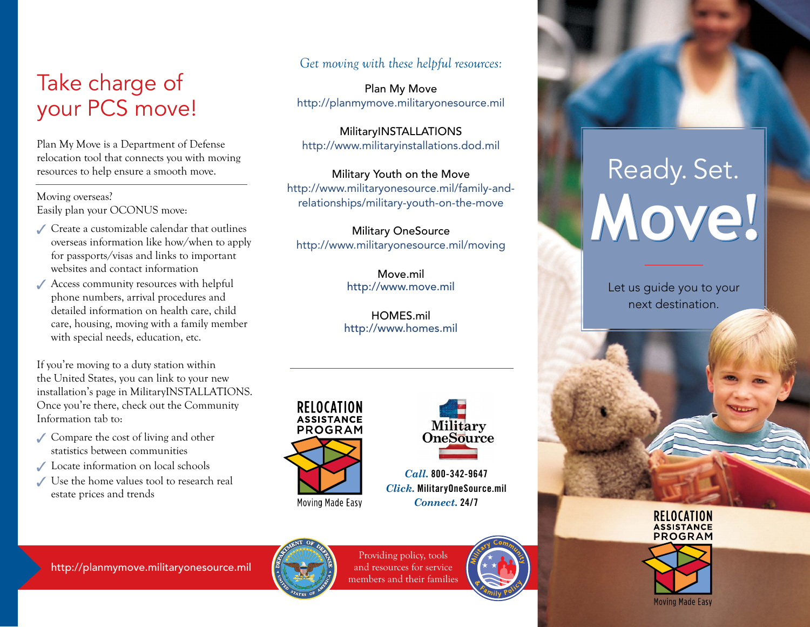### Take charge of your PCS move!

Plan My Move is a Department of Defense relocation tool that connects you with moving resources to help ensure a smooth move.

Moving overseas? Easily plan your OCONUS move:

- Create a customizable calendar that outlines overseas information like how/when to apply for passports/visas and links to important websites and contact information
- Access community resources with helpful phone numbers, arrival procedures and detailed information on health care, child care, housing, moving with a family member with special needs, education, etc.

If you're moving to a duty station within the United States, you can link to your new installation's page in MilitaryINSTALLATIONS. Once you're there, check out the Community Information tab to:

- Compare the cost of living and other statistics between communities
- ◆ Locate information on local schools
- Use the home values tool to research real estate prices and trends

#### *Get moving with these helpful resources:*

Plan My Move <http://planmymove.militaryonesource.mil>

MilitaryINSTALLATIONS <http://www.militaryinstallations.dod.mil>

Military Youth on the Move [http://www.militaryonesource.mil/family-and](http://www.militaryonesource.mil/family-and-relationships/military-youth-on-the-move)[relationships/military-youth-on-the-move](http://www.militaryonesource.mil/family-and-relationships/military-youth-on-the-move)

Military OneSource <http://www.militaryonesource.mil/moving>

> Move.mil <http://www.move.mil>

HOMES mil <http://www.homes.mil>





*Call.* 800-342-9647 *Click.* [MilitaryOneSource.mil](http://MilitaryOneSource.mil) *Connect.* 24/7



Providing policy, tools and resources for service members and their families



# **Move** Ready. Set.

Let us guide you to your next destination.